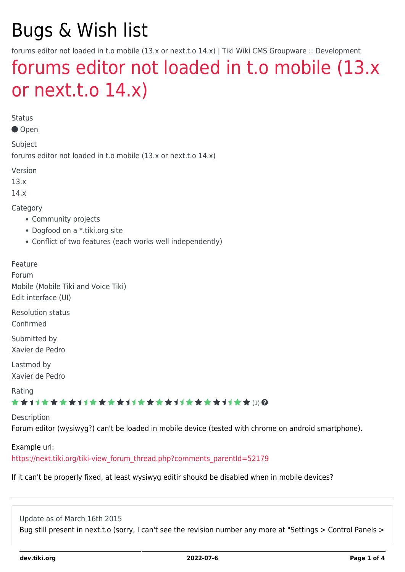# Bugs & Wish list

forums editor not loaded in t.o mobile (13.x or next.t.o 14.x) | Tiki Wiki CMS Groupware :: Development

# [forums editor not loaded in t.o mobile \(13.x](https://dev.tiki.org/item5559-forums-editor-not-loaded-in-t-o-mobile-13-x-or-next-t-o-14-x) [or next.t.o 14.x\)](https://dev.tiki.org/item5559-forums-editor-not-loaded-in-t-o-mobile-13-x-or-next-t-o-14-x)

Status

Open

Subject forums editor not loaded in t.o mobile (13.x or next.t.o 14.x)

Version

13.x

14.x

Category

- Community projects
- Dogfood on a \*.tiki.org site
- Conflict of two features (each works well independently)

Feature Forum Mobile (Mobile Tiki and Voice Tiki) Edit interface (UI)

Resolution status Confirmed

Submitted by Xavier de Pedro

Lastmod by Xavier de Pedro

Rating

#### **★★**11★★★★11★★★★11★★★★11★★★★11★★ (!) @

Description

Forum editor (wysiwyg?) can't be loaded in mobile device (tested with chrome on android smartphone).

Example url:

[https://next.tiki.org/tiki-view\\_forum\\_thread.php?comments\\_parentId=52179](https://next.tiki.org/tiki-view_forum_thread.php?comments_parentId=52179)

If it can't be properly fixed, at least wysiwyg editir shoukd be disabled when in mobile devices?

Update as of March 16th 2015 Bug still present in next.t.o (sorry, I can't see the revision number any more at "Settings > Control Panels >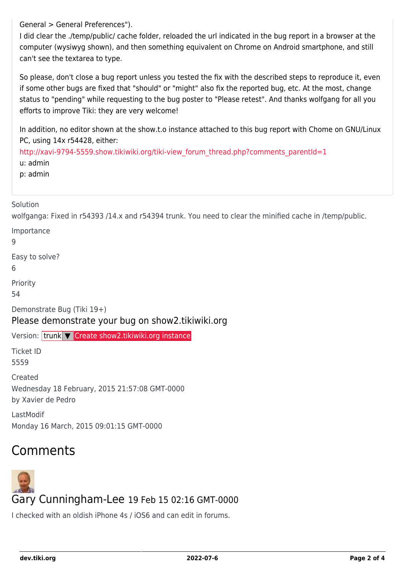General > General Preferences").

I did clear the ./temp/public/ cache folder, reloaded the url indicated in the bug report in a browser at the computer (wysiwyg shown), and then something equivalent on Chrome on Android smartphone, and still can't see the textarea to type.

So please, don't close a bug report unless you tested the fix with the described steps to reproduce it, even if some other bugs are fixed that "should" or "might" also fix the reported bug, etc. At the most, change status to "pending" while requesting to the bug poster to "Please retest". And thanks wolfgang for all you efforts to improve Tiki: they are very welcome!

In addition, no editor shown at the show.t.o instance attached to this bug report with Chome on GNU/Linux PC, using 14x r54428, either:

[http://xavi-9794-5559.show.tikiwiki.org/tiki-view\\_forum\\_thread.php?comments\\_parentId=1](http://xavi-9794-5559.show.tikiwiki.org/tiki-view_forum_thread.php?comments_parentId=1) u: admin p: admin

#### Solution

wolfganga: Fixed in r54393 /14.x and r54394 trunk. You need to clear the minified cache in /temp/public.

Importance

9

Easy to solve?

6

Priority

54

Demonstrate Bug (Tiki 19+)

#### Please demonstrate your bug on show2.tikiwiki.org

Version: trunk ▼ [Create show2.tikiwiki.org instance](#page--1-0)

Ticket ID 5559

**Created** Wednesday 18 February, 2015 21:57:08 GMT-0000 by Xavier de Pedro

LastModif Monday 16 March, 2015 09:01:15 GMT-0000

# Comments



I checked with an oldish iPhone 4s / iOS6 and can edit in forums.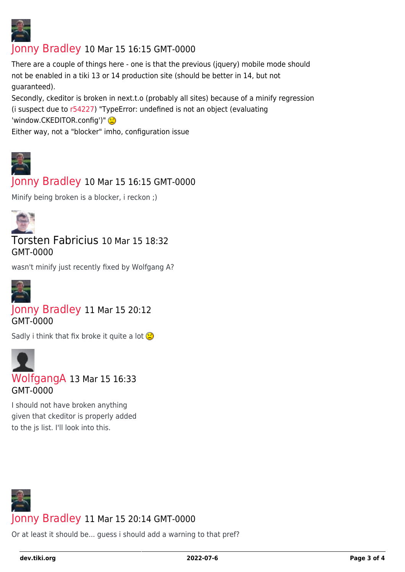

## [Jonny Bradley](https://dev.tiki.org/user8515) 10 Mar 15 16:15 GMT-0000

There are a couple of things here - one is that the previous (jquery) mobile mode should not be enabled in a tiki 13 or 14 production site (should be better in 14, but not guaranteed).

Secondly, ckeditor is broken in next.t.o (probably all sites) because of a minify regression (i suspect due to [r54227\)](http://sourceforge.net/p/tikiwiki/code/54227) "TypeError: undefined is not an object (evaluating 'window.CKEDITOR.config')" Either way, not a "blocker" imho, configuration issue

## [Jonny Bradley](https://dev.tiki.org/user8515) 10 Mar 15 16:15 GMT-0000

Minify being broken is a blocker, i reckon ;)



### Torsten Fabricius 10 Mar 15 18:32 GMT-0000

wasn't minify just recently fixed by Wolfgang A?



#### [Jonny Bradley](https://dev.tiki.org/user8515) 11 Mar 15 20:12 GMT-0000

Sadly i think that fix broke it quite a lot  $\bigcirc$ 



I should not have broken anything given that ckeditor is properly added to the js list. I'll look into this.



Or at least it should be... guess i should add a warning to that pref?